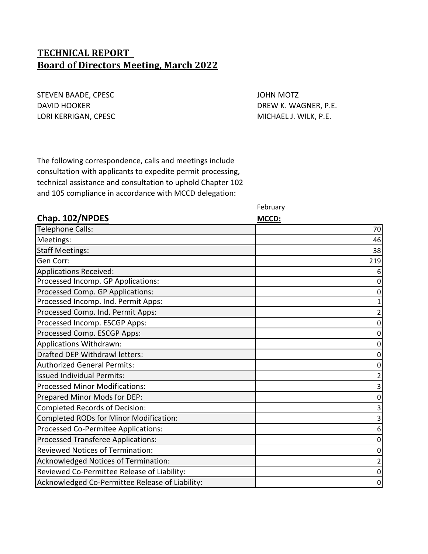# **TECHNICAL REPORT Board of Directors Meeting, March 2022**

STEVEN BAADE, CPESC **And STEVEN BAADE, CPESC JOHN MOTZ** DAVID HOOKER DAVID HOOKER DREW K. WAGNER, P.E. LORI KERRIGAN, CPESC **MICHAEL J. WILK, P.E.** 

The following correspondence, calls and meetings include consultation with applicants to expedite permit processing, technical assistance and consultation to uphold Chapter 102 and 105 compliance in accordance with MCCD delegation:

February

| Chap. 102/NPDES                                 | MCCD: |
|-------------------------------------------------|-------|
| <b>Telephone Calls:</b>                         | 70    |
| Meetings:                                       | 46    |
| <b>Staff Meetings:</b>                          | 38    |
| Gen Corr:                                       | 219   |
| Applications Received:                          |       |
| Processed Incomp. GP Applications:              |       |
| Processed Comp. GP Applications:                |       |
| Processed Incomp. Ind. Permit Apps:             |       |
| Processed Comp. Ind. Permit Apps:               |       |
| Processed Incomp. ESCGP Apps:                   |       |
| Processed Comp. ESCGP Apps:                     |       |
| Applications Withdrawn:                         |       |
| Drafted DEP Withdrawl letters:                  |       |
| <b>Authorized General Permits:</b>              |       |
| <b>Issued Individual Permits:</b>               |       |
| <b>Processed Minor Modifications:</b>           |       |
| Prepared Minor Mods for DEP:                    |       |
| Completed Records of Decision:                  |       |
| Completed RODs for Minor Modification:          |       |
| Processed Co-Permitee Applications:             | 6     |
| Processed Transferee Applications:              |       |
| <b>Reviewed Notices of Termination:</b>         |       |
| Acknowledged Notices of Termination:            |       |
| Reviewed Co-Permittee Release of Liability:     |       |
| Acknowledged Co-Permittee Release of Liability: | 0     |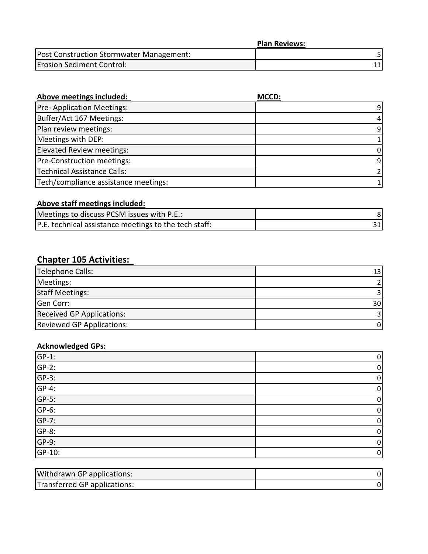|                                          | <b>Plan Reviews:</b> |
|------------------------------------------|----------------------|
| Post Construction Stormwater Management: |                      |
| <b>Erosion Sediment Control:</b>         |                      |

| Above meetings included:             | MCCD: |
|--------------------------------------|-------|
| Pre- Application Meetings:           | q     |
| Buffer/Act 167 Meetings:             |       |
| Plan review meetings:                | 9     |
| Meetings with DEP:                   |       |
| Elevated Review meetings:            |       |
| Pre-Construction meetings:           | 9     |
| Technical Assistance Calls:          |       |
| Tech/compliance assistance meetings: |       |

# **Above staff meetings included:**

| Meetings to discuss PCSM issues with P.E.:            |  |
|-------------------------------------------------------|--|
| P.E. technical assistance meetings to the tech staff: |  |

# **Chapter 105 Activities:**

| Telephone Calls:                 | 13 <sup>l</sup> |
|----------------------------------|-----------------|
| Meetings:                        |                 |
| <b>Staff Meetings:</b>           |                 |
| Gen Corr:                        | 30 <sup>1</sup> |
| <b>Received GP Applications:</b> |                 |
| <b>Reviewed GP Applications:</b> | 01              |

# **Acknowledged GPs:**

| $\frac{\text{GP-1:}}{\text{GP-2:}}$ | 0           |
|-------------------------------------|-------------|
|                                     | 0           |
| $GP-3$ :                            | $\mathbf 0$ |
| $GP-4$ :                            | 0           |
| $GP-5$ :                            | 0           |
| $GP-6$ :                            | 0           |
| $GP-7$ :                            | 0           |
| $GP-8$ :                            | 0           |
| $GP-9$ :                            | 0           |
| GP-10:                              | $\mathbf 0$ |

| <b>Withdrawn GP applications:</b> |  |
|-----------------------------------|--|
| Transferred GP applications:      |  |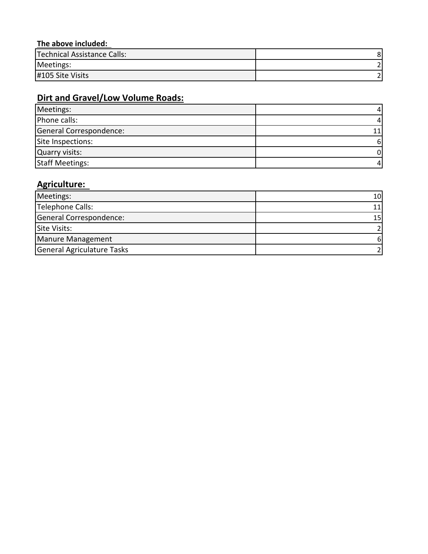# **The above included:**

| Technical Assistance Calls: |  |
|-----------------------------|--|
| Meetings:                   |  |
| #105 Site Visits            |  |

# **Dirt and Gravel/Low Volume Roads:**

| Meetings:               |   |
|-------------------------|---|
| Phone calls:            |   |
| General Correspondence: |   |
| Site Inspections:       | 6 |
| Quarry visits:          |   |
| <b>Staff Meetings:</b>  | 4 |

# **Agriculture:**

| Meetings:                  | 10I |
|----------------------------|-----|
| Telephone Calls:           |     |
| General Correspondence:    | 15  |
| Site Visits:               |     |
| Manure Management          |     |
| General Agriculature Tasks |     |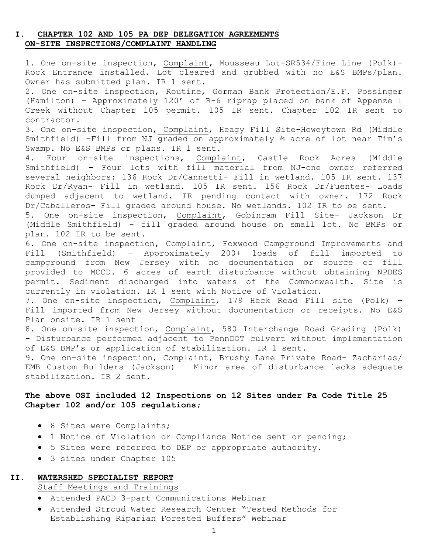## **I. CHAPTER 102 AND 105 PA DEP DELEGATION AGREEMENTS ON-SITE INSPECTIONS/COMPLAINT HANDLING**

1. One on-site inspection, Complaint, Mousseau Lot-SR534/Fine Line (Polk)- Rock Entrance installed. Lot cleared and grubbed with no E&S BMPs/plan. Owner has submitted plan. IR 1 sent.

2. One on-site inspection, Routine, Gorman Bank Protection/E.F. Possinger (Hamilton) – Approximately 120' of R-6 riprap placed on bank of Appenzell Creek without Chapter 105 permit. 105 IR sent. Chapter 102 IR sent to contractor.

3. One on-site inspection, Complaint, Heagy Fill Site-Howeytown Rd (Middle Smithfield) –Fill from NJ graded on approximately ¾ acre of lot near Tim's Swamp. No E&S BMPs or plans. IR 1 sent.<br>4. Four on-site inspections, Compl

Complaint, Castle Rock Acres (Middle Smithfield) – Four lots with fill material from NJ-one owner referred several neighbors: 136 Rock Dr/Cannetti- Fill in wetland. 105 IR sent. 137 Rock Dr/Ryan- Fill in wetland. 105 IR sent. 156 Rock Dr/Fuentes- Loads dumped adjacent to wetland. IR pending contact with owner. 172 Rock Dr/Caballeros- Fill graded around house. No wetlands. 102 IR to be sent.

5. One on-site inspection, Complaint, Gobinram Fill Site- Jackson Dr (Middle Smithfield) – fill graded around house on small lot. No BMPs or plan. 102 IR to be sent.

6. One on-site inspection, Complaint, Foxwood Campground Improvements and<br>Fill (Smithfield) - Approximately 200+ loads of fill imported to Fill (Smithfield) – Approximately 200+ loads of fill imported to campground from New Jersey with no documentation or source of fill provided to MCCD. 6 acres of earth disturbance without obtaining NPDES permit. Sediment discharged into waters of the Commonwealth. Site is currently in violation. IR 1 sent with Notice of Violation.

7. One on-site inspection, Complaint, 179 Heck Road Fill site (Polk) – Fill imported from New Jersey without documentation or receipts. No E&S Plan onsite. IR 1 sent

8. One on-site inspection, Complaint, 580 Interchange Road Grading (Polk) – Disturbance performed adjacent to PennDOT culvert without implementation of E&S BMP's or application of stabilization. IR 1 sent.

9. One on-site inspection, Complaint, Brushy Lane Private Road- Zacharias/ EMB Custom Builders (Jackson) – Minor area of disturbance lacks adequate stabilization. IR 2 sent.

## **The above OSI included 12 Inspections on 12 Sites under Pa Code Title 25 Chapter 102 and/or 105 regulations;**

- 8 Sites were Complaints;
- 1 Notice of Violation or Compliance Notice sent or pending;
- 5 Sites were referred to DEP or appropriate authority.
- 3 sites under Chapter 105

## **II. WATERSHED SPECIALIST REPORT**

Staff Meetings and Trainings

- Attended PACD 3-part Communications Webinar
- Attended Stroud Water Research Center "Tested Methods for Establishing Riparian Forested Buffers" Webinar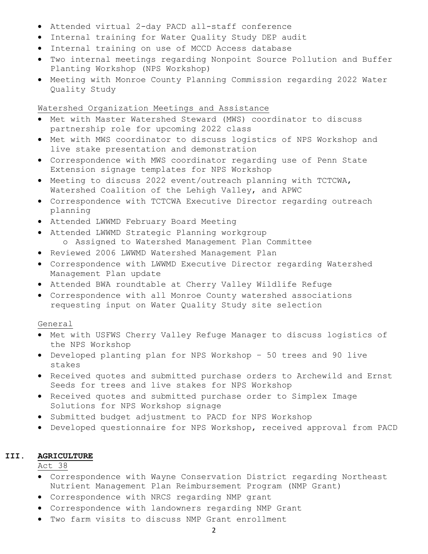- Attended virtual 2-day PACD all-staff conference
- Internal training for Water Quality Study DEP audit
- Internal training on use of MCCD Access database
- Two internal meetings regarding Nonpoint Source Pollution and Buffer Planting Workshop (NPS Workshop)
- Meeting with Monroe County Planning Commission regarding 2022 Water Quality Study

## Watershed Organization Meetings and Assistance

- Met with Master Watershed Steward (MWS) coordinator to discuss partnership role for upcoming 2022 class
- Met with MWS coordinator to discuss logistics of NPS Workshop and live stake presentation and demonstration
- Correspondence with MWS coordinator regarding use of Penn State Extension signage templates for NPS Workshop
- Meeting to discuss 2022 event/outreach planning with TCTCWA, Watershed Coalition of the Lehigh Valley, and APWC
- Correspondence with TCTCWA Executive Director regarding outreach planning
- Attended LWWMD February Board Meeting
- Attended LWWMD Strategic Planning workgroup o Assigned to Watershed Management Plan Committee
- Reviewed 2006 LWWMD Watershed Management Plan
- Correspondence with LWWMD Executive Director regarding Watershed Management Plan update
- Attended BWA roundtable at Cherry Valley Wildlife Refuge
- Correspondence with all Monroe County watershed associations requesting input on Water Quality Study site selection

### General

- Met with USFWS Cherry Valley Refuge Manager to discuss logistics of the NPS Workshop
- Developed planting plan for NPS Workshop 50 trees and 90 live stakes
- Received quotes and submitted purchase orders to Archewild and Ernst Seeds for trees and live stakes for NPS Workshop
- Received quotes and submitted purchase order to Simplex Image Solutions for NPS Workshop signage
- Submitted budget adjustment to PACD for NPS Workshop
- Developed questionnaire for NPS Workshop, received approval from PACD

#### **III. AGRICULTURE**

Act 38

- Correspondence with Wayne Conservation District regarding Northeast Nutrient Management Plan Reimbursement Program (NMP Grant)
- Correspondence with NRCS regarding NMP grant
- Correspondence with landowners regarding NMP Grant
- Two farm visits to discuss NMP Grant enrollment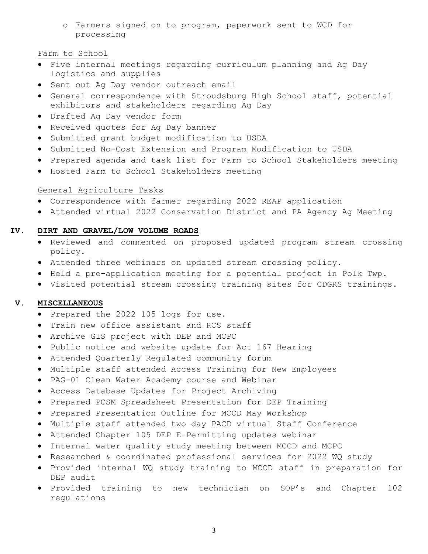o Farmers signed on to program, paperwork sent to WCD for processing

## Farm to School

- Five internal meetings regarding curriculum planning and Ag Day logistics and supplies
- Sent out Ag Day vendor outreach email
- General correspondence with Stroudsburg High School staff, potential exhibitors and stakeholders regarding Ag Day
- Drafted Ag Day vendor form
- Received quotes for Ag Day banner
- Submitted grant budget modification to USDA
- Submitted No-Cost Extension and Program Modification to USDA
- Prepared agenda and task list for Farm to School Stakeholders meeting
- Hosted Farm to School Stakeholders meeting

### General Agriculture Tasks

- Correspondence with farmer regarding 2022 REAP application
- Attended virtual 2022 Conservation District and PA Agency Ag Meeting

### **IV. DIRT AND GRAVEL/LOW VOLUME ROADS**

- Reviewed and commented on proposed updated program stream crossing policy.
- Attended three webinars on updated stream crossing policy.
- Held a pre-application meeting for a potential project in Polk Twp.
- Visited potential stream crossing training sites for CDGRS trainings.

## **V. MISCELLANEOUS**

- Prepared the 2022 105 logs for use.
- Train new office assistant and RCS staff
- Archive GIS project with DEP and MCPC
- Public notice and website update for Act 167 Hearing
- Attended Quarterly Regulated community forum
- Multiple staff attended Access Training for New Employees
- PAG-01 Clean Water Academy course and Webinar
- Access Database Updates for Project Archiving
- Prepared PCSM Spreadsheet Presentation for DEP Training
- Prepared Presentation Outline for MCCD May Workshop
- Multiple staff attended two day PACD virtual Staff Conference
- Attended Chapter 105 DEP E-Permitting updates webinar
- Internal water quality study meeting between MCCD and MCPC
- Researched & coordinated professional services for 2022 WQ study
- Provided internal WQ study training to MCCD staff in preparation for DEP audit
- Provided training to new technician on SOP's and Chapter 102 regulations